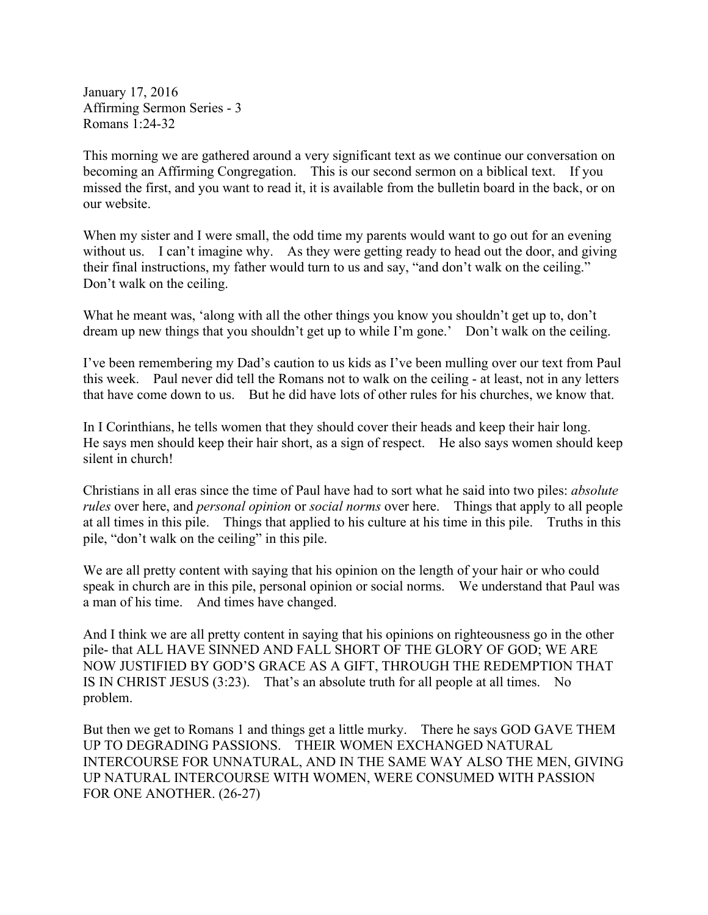January 17, 2016 Affirming Sermon Series - 3 Romans 1:24-32

This morning we are gathered around a very significant text as we continue our conversation on becoming an Affirming Congregation. This is our second sermon on a biblical text. If you missed the first, and you want to read it, it is available from the bulletin board in the back, or on our website.

When my sister and I were small, the odd time my parents would want to go out for an evening without us. I can't imagine why. As they were getting ready to head out the door, and giving their final instructions, my father would turn to us and say, "and don't walk on the ceiling." Don't walk on the ceiling.

What he meant was, 'along with all the other things you know you shouldn't get up to, don't dream up new things that you shouldn't get up to while I'm gone.' Don't walk on the ceiling.

I've been remembering my Dad's caution to us kids as I've been mulling over our text from Paul this week. Paul never did tell the Romans not to walk on the ceiling - at least, not in any letters that have come down to us. But he did have lots of other rules for his churches, we know that.

In I Corinthians, he tells women that they should cover their heads and keep their hair long. He says men should keep their hair short, as a sign of respect. He also says women should keep silent in church!

Christians in all eras since the time of Paul have had to sort what he said into two piles: *absolute rules* over here, and *personal opinion* or *social norms* over here. Things that apply to all people at all times in this pile. Things that applied to his culture at his time in this pile. Truths in this pile, "don't walk on the ceiling" in this pile.

We are all pretty content with saying that his opinion on the length of your hair or who could speak in church are in this pile, personal opinion or social norms. We understand that Paul was a man of his time. And times have changed.

And I think we are all pretty content in saying that his opinions on righteousness go in the other pile- that ALL HAVE SINNED AND FALL SHORT OF THE GLORY OF GOD; WE ARE NOW JUSTIFIED BY GOD'S GRACE AS A GIFT, THROUGH THE REDEMPTION THAT IS IN CHRIST JESUS (3:23). That's an absolute truth for all people at all times. No problem.

But then we get to Romans 1 and things get a little murky. There he says GOD GAVE THEM UP TO DEGRADING PASSIONS. THEIR WOMEN EXCHANGED NATURAL INTERCOURSE FOR UNNATURAL, AND IN THE SAME WAY ALSO THE MEN, GIVING UP NATURAL INTERCOURSE WITH WOMEN, WERE CONSUMED WITH PASSION FOR ONE ANOTHER. (26-27)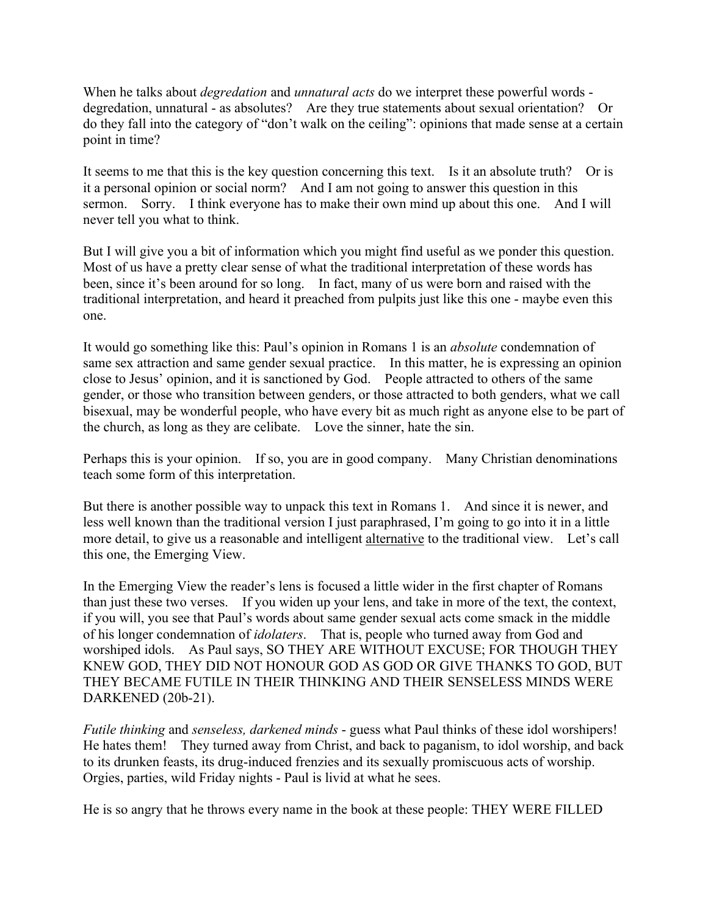When he talks about *degredation* and *unnatural acts* do we interpret these powerful words degredation, unnatural - as absolutes? Are they true statements about sexual orientation? Or do they fall into the category of "don't walk on the ceiling": opinions that made sense at a certain point in time?

It seems to me that this is the key question concerning this text. Is it an absolute truth? Or is it a personal opinion or social norm? And I am not going to answer this question in this sermon. Sorry. I think everyone has to make their own mind up about this one. And I will never tell you what to think.

But I will give you a bit of information which you might find useful as we ponder this question. Most of us have a pretty clear sense of what the traditional interpretation of these words has been, since it's been around for so long. In fact, many of us were born and raised with the traditional interpretation, and heard it preached from pulpits just like this one - maybe even this one.

It would go something like this: Paul's opinion in Romans 1 is an *absolute* condemnation of same sex attraction and same gender sexual practice. In this matter, he is expressing an opinion close to Jesus' opinion, and it is sanctioned by God. People attracted to others of the same gender, or those who transition between genders, or those attracted to both genders, what we call bisexual, may be wonderful people, who have every bit as much right as anyone else to be part of the church, as long as they are celibate. Love the sinner, hate the sin.

Perhaps this is your opinion. If so, you are in good company. Many Christian denominations teach some form of this interpretation.

But there is another possible way to unpack this text in Romans 1. And since it is newer, and less well known than the traditional version I just paraphrased, I'm going to go into it in a little more detail, to give us a reasonable and intelligent alternative to the traditional view. Let's call this one, the Emerging View.

In the Emerging View the reader's lens is focused a little wider in the first chapter of Romans than just these two verses. If you widen up your lens, and take in more of the text, the context, if you will, you see that Paul's words about same gender sexual acts come smack in the middle of his longer condemnation of *idolaters*. That is, people who turned away from God and worshiped idols. As Paul says, SO THEY ARE WITHOUT EXCUSE; FOR THOUGH THEY KNEW GOD, THEY DID NOT HONOUR GOD AS GOD OR GIVE THANKS TO GOD, BUT THEY BECAME FUTILE IN THEIR THINKING AND THEIR SENSELESS MINDS WERE DARKENED (20b-21).

*Futile thinking* and *senseless, darkened minds* - guess what Paul thinks of these idol worshipers! He hates them! They turned away from Christ, and back to paganism, to idol worship, and back to its drunken feasts, its drug-induced frenzies and its sexually promiscuous acts of worship. Orgies, parties, wild Friday nights - Paul is livid at what he sees.

He is so angry that he throws every name in the book at these people: THEY WERE FILLED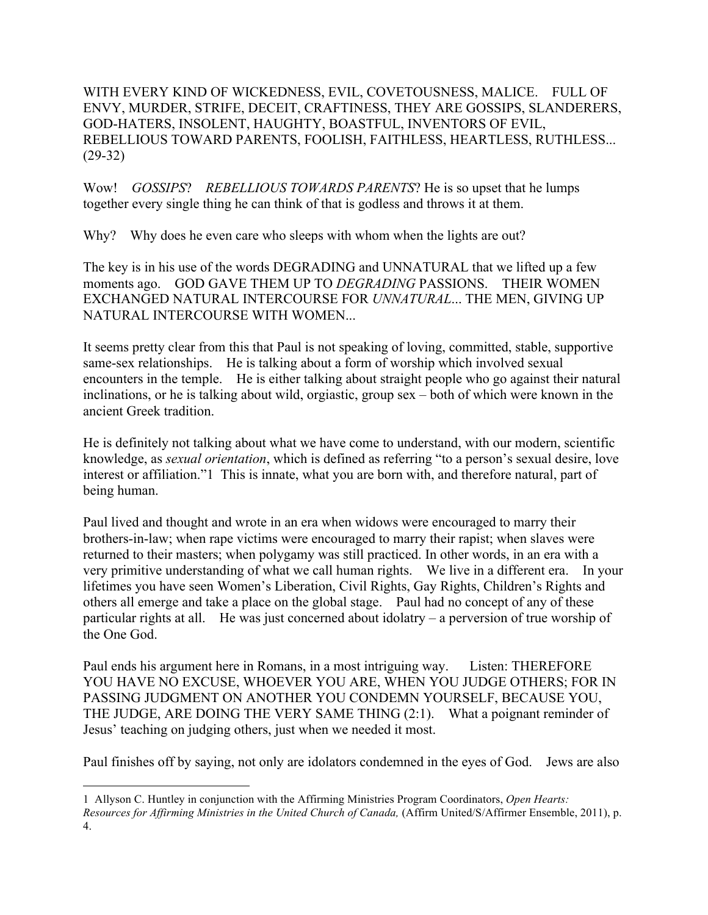WITH EVERY KIND OF WICKEDNESS, EVIL, COVETOUSNESS, MALICE. FULL OF ENVY, MURDER, STRIFE, DECEIT, CRAFTINESS, THEY ARE GOSSIPS, SLANDERERS, GOD-HATERS, INSOLENT, HAUGHTY, BOASTFUL, INVENTORS OF EVIL, REBELLIOUS TOWARD PARENTS, FOOLISH, FAITHLESS, HEARTLESS, RUTHLESS... (29-32)

Wow! *GOSSIPS*? *REBELLIOUS TOWARDS PARENTS*? He is so upset that he lumps together every single thing he can think of that is godless and throws it at them.

Why? Why does he even care who sleeps with whom when the lights are out?

The key is in his use of the words DEGRADING and UNNATURAL that we lifted up a few moments ago. GOD GAVE THEM UP TO *DEGRADING* PASSIONS. THEIR WOMEN EXCHANGED NATURAL INTERCOURSE FOR *UNNATURAL*... THE MEN, GIVING UP NATURAL INTERCOURSE WITH WOMEN...

It seems pretty clear from this that Paul is not speaking of loving, committed, stable, supportive same-sex relationships. He is talking about a form of worship which involved sexual encounters in the temple. He is either talking about straight people who go against their natural inclinations, or he is talking about wild, orgiastic, group sex – both of which were known in the ancient Greek tradition.

He is definitely not talking about what we have come to understand, with our modern, scientific knowledge, as *sexual orientation*, which is defined as referring "to a person's sexual desire, love interest or affiliation."1 This is innate, what you are born with, and therefore natural, part of being human.

Paul lived and thought and wrote in an era when widows were encouraged to marry their brothers-in-law; when rape victims were encouraged to marry their rapist; when slaves were returned to their masters; when polygamy was still practiced. In other words, in an era with a very primitive understanding of what we call human rights. We live in a different era. In your lifetimes you have seen Women's Liberation, Civil Rights, Gay Rights, Children's Rights and others all emerge and take a place on the global stage. Paul had no concept of any of these particular rights at all. He was just concerned about idolatry – a perversion of true worship of the One God.

Paul ends his argument here in Romans, in a most intriguing way. Listen: THEREFORE YOU HAVE NO EXCUSE, WHOEVER YOU ARE, WHEN YOU JUDGE OTHERS; FOR IN PASSING JUDGMENT ON ANOTHER YOU CONDEMN YOURSELF, BECAUSE YOU, THE JUDGE, ARE DOING THE VERY SAME THING (2:1). What a poignant reminder of Jesus' teaching on judging others, just when we needed it most.

Paul finishes off by saying, not only are idolators condemned in the eyes of God. Jews are also

 <sup>1</sup> Allyson C. Huntley in conjunction with the Affirming Ministries Program Coordinators, *Open Hearts: Resources for Affirming Ministries in the United Church of Canada,* (Affirm United/S/Affirmer Ensemble, 2011), p. 4.